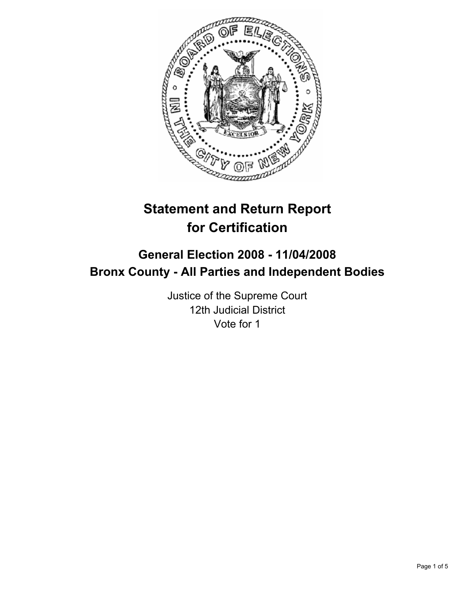

# **Statement and Return Report for Certification**

## **General Election 2008 - 11/04/2008 Bronx County - All Parties and Independent Bodies**

Justice of the Supreme Court 12th Judicial District Vote for 1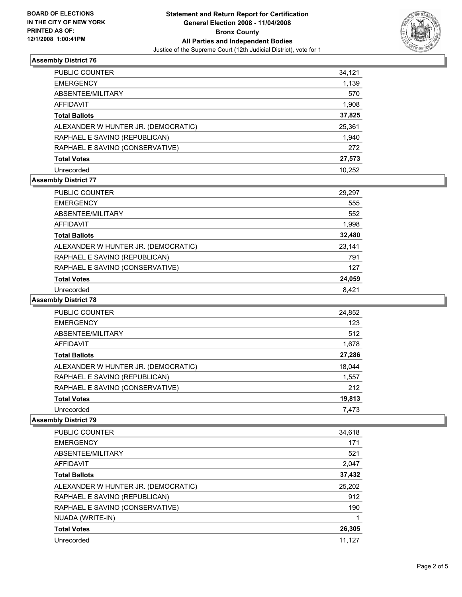

## **Assembly District 76**

| PUBLIC COUNTER                      | 34,121 |
|-------------------------------------|--------|
| <b>EMERGENCY</b>                    | 1,139  |
| ABSENTEE/MILITARY                   | 570    |
| <b>AFFIDAVIT</b>                    | 1,908  |
| <b>Total Ballots</b>                | 37,825 |
| ALEXANDER W HUNTER JR. (DEMOCRATIC) | 25,361 |
| RAPHAEL E SAVINO (REPUBLICAN)       | 1,940  |
| RAPHAEL E SAVINO (CONSERVATIVE)     | 272    |
| <b>Total Votes</b>                  | 27,573 |
| Unrecorded                          | 10.252 |

## **Assembly District 77**

| <b>PUBLIC COUNTER</b>               | 29,297 |
|-------------------------------------|--------|
| <b>EMERGENCY</b>                    | 555    |
| ABSENTEE/MILITARY                   | 552    |
| AFFIDAVIT                           | 1,998  |
| <b>Total Ballots</b>                | 32,480 |
| ALEXANDER W HUNTER JR. (DEMOCRATIC) | 23,141 |
| RAPHAEL E SAVINO (REPUBLICAN)       | 791    |
| RAPHAEL E SAVINO (CONSERVATIVE)     | 127    |
| <b>Total Votes</b>                  | 24,059 |
| Unrecorded                          | 8.421  |

#### **Assembly District 78**

| PUBLIC COUNTER                      | 24,852 |
|-------------------------------------|--------|
| <b>EMERGENCY</b>                    | 123    |
| ABSENTEE/MILITARY                   | 512    |
| AFFIDAVIT                           | 1,678  |
| <b>Total Ballots</b>                | 27,286 |
| ALEXANDER W HUNTER JR. (DEMOCRATIC) | 18,044 |
| RAPHAEL E SAVINO (REPUBLICAN)       | 1,557  |
| RAPHAEL E SAVINO (CONSERVATIVE)     | 212    |
| <b>Total Votes</b>                  | 19,813 |
| Unrecorded                          | 7,473  |

#### **Assembly District 79**

| PUBLIC COUNTER                      | 34,618 |
|-------------------------------------|--------|
| <b>EMERGENCY</b>                    | 171    |
| ABSENTEE/MILITARY                   | 521    |
| <b>AFFIDAVIT</b>                    | 2,047  |
| <b>Total Ballots</b>                | 37,432 |
| ALEXANDER W HUNTER JR. (DEMOCRATIC) | 25,202 |
| RAPHAEL E SAVINO (REPUBLICAN)       | 912    |
| RAPHAEL E SAVINO (CONSERVATIVE)     | 190    |
| NUADA (WRITE-IN)                    |        |
| <b>Total Votes</b>                  | 26,305 |
| Unrecorded                          | 11.127 |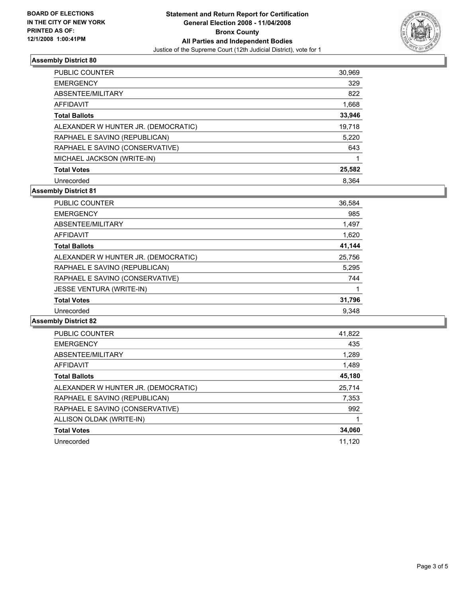

## **Assembly District 80**

| <b>PUBLIC COUNTER</b>               | 30,969 |
|-------------------------------------|--------|
| <b>EMERGENCY</b>                    | 329    |
| ABSENTEE/MILITARY                   | 822    |
| AFFIDAVIT                           | 1,668  |
| <b>Total Ballots</b>                | 33,946 |
| ALEXANDER W HUNTER JR. (DEMOCRATIC) | 19,718 |
| RAPHAEL E SAVINO (REPUBLICAN)       | 5,220  |
| RAPHAEL E SAVINO (CONSERVATIVE)     | 643    |
| MICHAEL JACKSON (WRITE-IN)          |        |
| <b>Total Votes</b>                  | 25,582 |
| Unrecorded                          | 8.364  |

## **Assembly District 81**

| PUBLIC COUNTER                      | 36,584 |
|-------------------------------------|--------|
| <b>EMERGENCY</b>                    | 985    |
| ABSENTEE/MILITARY                   | 1,497  |
| AFFIDAVIT                           | 1,620  |
| <b>Total Ballots</b>                | 41,144 |
| ALEXANDER W HUNTER JR. (DEMOCRATIC) | 25,756 |
| RAPHAEL E SAVINO (REPUBLICAN)       | 5,295  |
| RAPHAEL E SAVINO (CONSERVATIVE)     | 744    |
| <b>JESSE VENTURA (WRITE-IN)</b>     |        |
| <b>Total Votes</b>                  | 31,796 |
| Unrecorded                          | 9.348  |

#### **Assembly District 82**

| <b>PUBLIC COUNTER</b>               | 41,822 |
|-------------------------------------|--------|
| <b>EMERGENCY</b>                    | 435    |
| ABSENTEE/MILITARY                   | 1,289  |
| AFFIDAVIT                           | 1,489  |
| <b>Total Ballots</b>                | 45,180 |
| ALEXANDER W HUNTER JR. (DEMOCRATIC) | 25,714 |
| RAPHAEL E SAVINO (REPUBLICAN)       | 7,353  |
| RAPHAEL E SAVINO (CONSERVATIVE)     | 992    |
| ALLISON OLDAK (WRITE-IN)            |        |
| <b>Total Votes</b>                  | 34,060 |
| Unrecorded                          | 11.120 |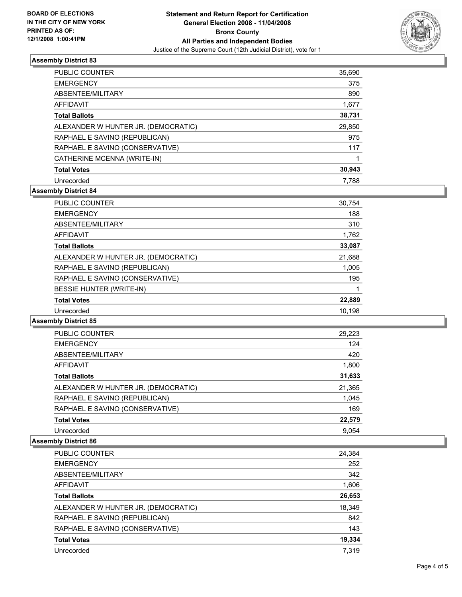

## **Assembly District 83**

| <b>PUBLIC COUNTER</b>               | 35,690 |
|-------------------------------------|--------|
| <b>EMERGENCY</b>                    | 375    |
| ABSENTEE/MILITARY                   | 890    |
| AFFIDAVIT                           | 1,677  |
| <b>Total Ballots</b>                | 38,731 |
| ALEXANDER W HUNTER JR. (DEMOCRATIC) | 29,850 |
| RAPHAEL E SAVINO (REPUBLICAN)       | 975    |
| RAPHAEL E SAVINO (CONSERVATIVE)     | 117    |
| CATHERINE MCENNA (WRITE-IN)         |        |
| <b>Total Votes</b>                  | 30,943 |
| Unrecorded                          | 7.788  |

## **Assembly District 84**

| <b>PUBLIC COUNTER</b>               | 30,754 |
|-------------------------------------|--------|
| <b>EMERGENCY</b>                    | 188    |
| ABSENTEE/MILITARY                   | 310    |
| AFFIDAVIT                           | 1,762  |
| <b>Total Ballots</b>                | 33,087 |
| ALEXANDER W HUNTER JR. (DEMOCRATIC) | 21,688 |
| RAPHAEL E SAVINO (REPUBLICAN)       | 1,005  |
| RAPHAEL E SAVINO (CONSERVATIVE)     | 195    |
| BESSIE HUNTER (WRITE-IN)            |        |
| <b>Total Votes</b>                  | 22,889 |
| Unrecorded                          | 10.198 |

#### **Assembly District 85**

| PUBLIC COUNTER                      | 29,223 |  |
|-------------------------------------|--------|--|
| <b>EMERGENCY</b>                    | 124    |  |
| ABSENTEE/MILITARY                   | 420    |  |
| <b>AFFIDAVIT</b>                    | 1,800  |  |
| <b>Total Ballots</b>                | 31,633 |  |
| ALEXANDER W HUNTER JR. (DEMOCRATIC) | 21,365 |  |
| RAPHAEL E SAVINO (REPUBLICAN)       | 1,045  |  |
| RAPHAEL E SAVINO (CONSERVATIVE)     | 169    |  |
| <b>Total Votes</b>                  | 22,579 |  |
| Unrecorded                          | 9.054  |  |

#### **Assembly District 86**

| PUBLIC COUNTER                      | 24,384 |
|-------------------------------------|--------|
| <b>EMERGENCY</b>                    | 252    |
| ABSENTEE/MILITARY                   | 342    |
| AFFIDAVIT                           | 1,606  |
| <b>Total Ballots</b>                | 26,653 |
| ALEXANDER W HUNTER JR. (DEMOCRATIC) | 18,349 |
| RAPHAEL E SAVINO (REPUBLICAN)       | 842    |
| RAPHAEL E SAVINO (CONSERVATIVE)     | 143    |
| <b>Total Votes</b>                  | 19,334 |
| Unrecorded                          | 7.319  |